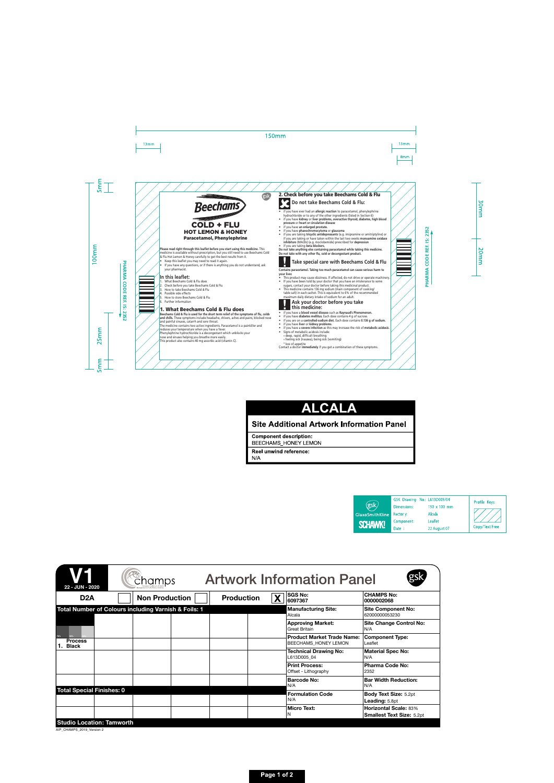# **Beechams** COLD + FLU HOT LEMON & HONEY Paracetamol, Phenylephrine

**Please read right through this leaflet before you start using this medicine.** This medicine is available without prescription, but you still need to use Beechams Cold & Flu Hot Lemon & Honey carefully to get the best results from it.

- Keep this leaflet you may need to read it again.
- If you have any questions, or if there is anything you do not understand, ask your pharmacist.

# **In this leaflet:**

- 1. What Beechams Cold & Flu does
- 2. Check before you take Beechams Cold & Flu
- 3. How to take Beechams Cold & Flu
- 4 Possible side effects
- 5. How to store Beechams Cold & Flu
- 6. Further information

# 1. What Beechams Cold & Flu does

**Beechams Cold & Flu is used for the short term relief of the symptoms of flu, colds and chills.** These symptoms include headache, shivers, aches and pains, blocked nose and painful sinuses, catarrh and sore throat.

/////////

The medicine contains two active ingredients. Paracetamol is a painkiller and reduces your temperature when you have a fever.

Phenylephrine hydrochloride is a decongestant which unblocks your nose and sinuses helping you breathe more easily.

This product also contains 40 mg ascorbic acid (vitamin C).

## 2. Check before you take Beechams Cold & Flu

**Do not take Beechams Cold & Flu:**

- if you have ever had an **allergic reaction** to paracetamol, phenylephrine hydrochloride or to any of the other ingredients (listed in Section 6)
- if you have **kidney** or **liver problems, overactive thyroid, diabetes, high blood pressure** or **heart or circulation disease**
- if you have **an enlarged prostate.**
- if you have **phaeochromocytoma** or **glaucoma**
- if you are taking **tricyclic antidepressants** (e.g. imipramine or amitriptyline) or if you are taking or have taken within the last two weeks **monoamine oxidase inhibitors** (MAOIs) (e.g. moclobemide) prescribed for **depression**
- if you are taking **beta blockers.**

**Do not take anything else containing paracetamol while taking this medicine. Do not take with any other flu, cold or decongestant product.**

gsk

# **Take special care with Beechams Cold & Flu**

**Contains paracetamol. Taking too much paracetamol can cause serious harm to your liver.**

- This product may cause dizziness. If affected, do not drive or operate machinery.
- If you have been told by your doctor that you have an intolerance to some sugars, contact your doctor before taking this medicinal product.
- This medicine contains 136 mg sodium (main component of cooking/ table salt) in each sachet. This is equivalent to 6% of the recommended maximum daily dietary intake of sodium for an adult.

#### **Ask your doctor before you take this medicine:**

- if you have a **blood vessel disease** such as **Raynaud's Phenomenon.**
- if you have **diabetes mellitus.** Each dose contains 4 g of sucrose.
- if you are on a **controlled-sodium diet.** Each dose contains **0.136 g of sodium.**
- if you have **liver** or **kidney problems**.
- if you have a **severe infection** as this may increase the risk of **metabolic acidosis**.
- Signs of metabolic acidosis include:
- º deep, rapid, difficult breathing
- º feeling sick (nausea), being sick (vomiting)
- 

º loss of appetite Contact a doctor **immediately** if you get a combination of these symptoms.